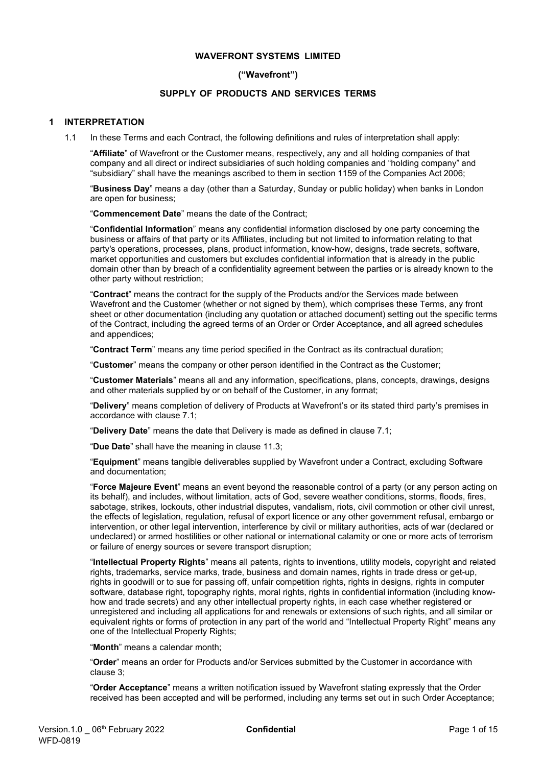# **WAVEFRONT SYSTEMS LIMITED**

# **("Wavefront")**

## **SUPPLY OF PRODUCTS AND SERVICES TERMS**

### **1 INTERPRETATION**

1.1 In these Terms and each Contract, the following definitions and rules of interpretation shall apply:

"**Affiliate**" of Wavefront or the Customer means, respectively, any and all holding companies of that company and all direct or indirect subsidiaries of such holding companies and "holding company" and "subsidiary" shall have the meanings ascribed to them in section 1159 of the Companies Act 2006;

"**Business Day**" means a day (other than a Saturday, Sunday or public holiday) when banks in London are open for business;

"**Commencement Date**" means the date of the Contract;

"**Confidential Information**" means any confidential information disclosed by one party concerning the business or affairs of that party or its Affiliates, including but not limited to information relating to that party's operations, processes, plans, product information, know-how, designs, trade secrets, software, market opportunities and customers but excludes confidential information that is already in the public domain other than by breach of a confidentiality agreement between the parties or is already known to the other party without restriction;

"**Contract**" means the contract for the supply of the Products and/or the Services made between Wavefront and the Customer (whether or not signed by them), which comprises these Terms, any front sheet or other documentation (including any quotation or attached document) setting out the specific terms of the Contract, including the agreed terms of an Order or Order Acceptance, and all agreed schedules and appendices;

"**Contract Term**" means any time period specified in the Contract as its contractual duration;

"**Customer**" means the company or other person identified in the Contract as the Customer;

"**Customer Materials**" means all and any information, specifications, plans, concepts, drawings, designs and other materials supplied by or on behalf of the Customer, in any format;

"**Delivery**" means completion of delivery of Products at Wavefront's or its stated third party's premises in accordance with clause [7.1;](#page-3-0)

"**Delivery Date**" means the date that Delivery is made as defined in clause [7.1;](#page-3-0)

"**Due Date**" shall have the meaning in clause [11.3;](#page-6-0)

"**Equipment**" means tangible deliverables supplied by Wavefront under a Contract, excluding Software and documentation;

"**Force Majeure Event**" means an event beyond the reasonable control of a party (or any person acting on its behalf), and includes, without limitation, acts of God, severe weather conditions, storms, floods, fires, sabotage, strikes, lockouts, other industrial disputes, vandalism, riots, civil commotion or other civil unrest, the effects of legislation, regulation, refusal of export licence or any other government refusal, embargo or intervention, or other legal intervention, interference by civil or military authorities, acts of war (declared or undeclared) or armed hostilities or other national or international calamity or one or more acts of terrorism or failure of energy sources or severe transport disruption;

"**Intellectual Property Rights**" means all patents, rights to inventions, utility models, copyright and related rights, trademarks, service marks, trade, business and domain names, rights in trade dress or get-up, rights in goodwill or to sue for passing off, unfair competition rights, rights in designs, rights in computer software, database right, topography rights, moral rights, rights in confidential information (including knowhow and trade secrets) and any other intellectual property rights, in each case whether registered or unregistered and including all applications for and renewals or extensions of such rights, and all similar or equivalent rights or forms of protection in any part of the world and "Intellectual Property Right" means any one of the Intellectual Property Rights;

"**Month**" means a calendar month;

"**Order**" means an order for Products and/or Services submitted by the Customer in accordance with clause [3;](#page-2-0)

"**Order Acceptance**" means a written notification issued by Wavefront stating expressly that the Order received has been accepted and will be performed, including any terms set out in such Order Acceptance;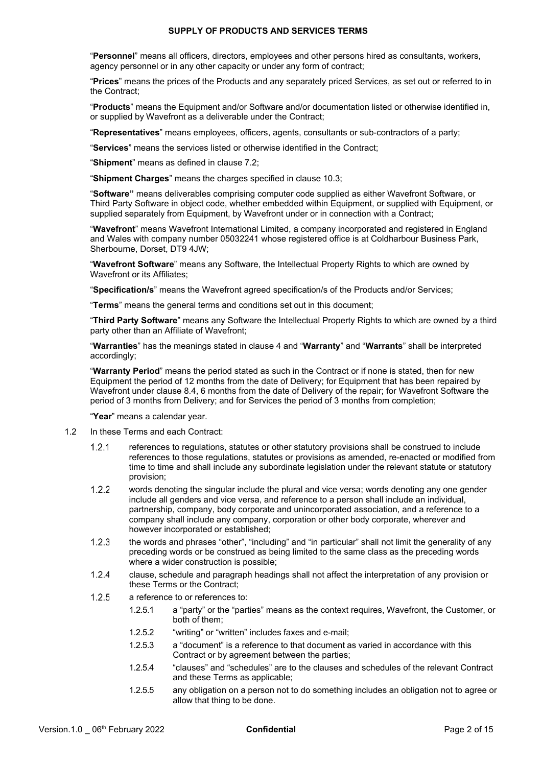"**Personnel**" means all officers, directors, employees and other persons hired as consultants, workers, agency personnel or in any other capacity or under any form of contract;

"**Prices**" means the prices of the Products and any separately priced Services, as set out or referred to in the Contract;

"**Products**" means the Equipment and/or Software and/or documentation listed or otherwise identified in, or supplied by Wavefront as a deliverable under the Contract;

"**Representatives**" means employees, officers, agents, consultants or sub-contractors of a party;

"**Services**" means the services listed or otherwise identified in the Contract;

"**Shipment**" means as defined in clause [7.2;](#page-3-1) 

"**Shipment Charges**" means the charges specified in clause [10.3;](#page-6-1)

"**Software"** means deliverables comprising computer code supplied as either Wavefront Software, or Third Party Software in object code, whether embedded within Equipment, or supplied with Equipment, or supplied separately from Equipment, by Wavefront under or in connection with a Contract;

"**Wavefront**" means Wavefront International Limited, a company incorporated and registered in England and Wales with company number 05032241 whose registered office is at Coldharbour Business Park, Sherbourne, Dorset, DT9 4JW;

"**Wavefront Software**" means any Software, the Intellectual Property Rights to which are owned by Wavefront or its Affiliates;

"**Specification/s**" means the Wavefront agreed specification/s of the Products and/or Services;

"**Terms**" means the general terms and conditions set out in this document;

"**Third Party Software**" means any Software the Intellectual Property Rights to which are owned by a third party other than an Affiliate of Wavefront;

"**Warranties**" has the meanings stated in clause 4 and "**Warranty**" and "**Warrants**" shall be interpreted accordingly;

"**Warranty Period**" means the period stated as such in the Contract or if none is stated, then for new Equipment the period of 12 months from the date of Delivery; for Equipment that has been repaired by Wavefront under clause [8.4, 6](#page-5-0) months from the date of Delivery of the repair; for Wavefront Software the period of 3 months from Delivery; and for Services the period of 3 months from completion;

"**Year**" means a calendar year.

- 1.2 In these Terms and each Contract:
	- $1.2.1$ references to regulations, statutes or other statutory provisions shall be construed to include references to those regulations, statutes or provisions as amended, re-enacted or modified from time to time and shall include any subordinate legislation under the relevant statute or statutory provision;
	- $1.2.2$ words denoting the singular include the plural and vice versa; words denoting any one gender include all genders and vice versa, and reference to a person shall include an individual, partnership, company, body corporate and unincorporated association, and a reference to a company shall include any company, corporation or other body corporate, wherever and however incorporated or established;
	- $1.2.3$ the words and phrases "other", "including" and "in particular" shall not limit the generality of any preceding words or be construed as being limited to the same class as the preceding words where a wider construction is possible;
	- $1.2.4$ clause, schedule and paragraph headings shall not affect the interpretation of any provision or these Terms or the Contract;
	- $1.2.5$ a reference to or references to:
		- 1.2.5.1 a "party" or the "parties" means as the context requires, Wavefront, the Customer, or both of them;
		- 1.2.5.2 "writing" or "written" includes faxes and e-mail;
		- 1.2.5.3 a "document" is a reference to that document as varied in accordance with this Contract or by agreement between the parties;
		- 1.2.5.4 "clauses" and "schedules" are to the clauses and schedules of the relevant Contract and these Terms as applicable;
		- 1.2.5.5 any obligation on a person not to do something includes an obligation not to agree or allow that thing to be done.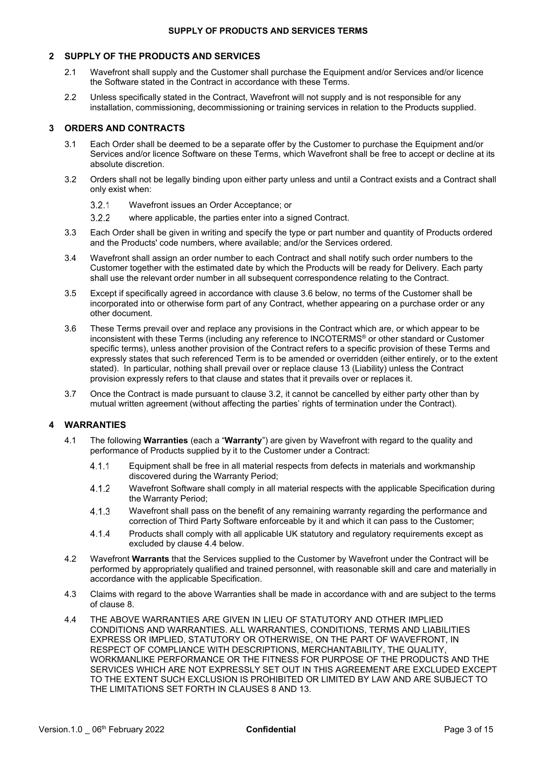# **2 SUPPLY OF THE PRODUCTS AND SERVICES**

- 2.1 Wavefront shall supply and the Customer shall purchase the Equipment and/or Services and/or licence the Software stated in the Contract in accordance with these Terms.
- 2.2 Unless specifically stated in the Contract, Wavefront will not supply and is not responsible for any installation, commissioning, decommissioning or training services in relation to the Products supplied.

# <span id="page-2-0"></span>**3 ORDERS AND CONTRACTS**

- 3.1 Each Order shall be deemed to be a separate offer by the Customer to purchase the Equipment and/or Services and/or licence Software on these Terms, which Wavefront shall be free to accept or decline at its absolute discretion.
- <span id="page-2-1"></span>3.2 Orders shall not be legally binding upon either party unless and until a Contract exists and a Contract shall only exist when:
	- $3.2.1$ Wavefront issues an Order Acceptance; or
	- $3.2.2$ where applicable, the parties enter into a signed Contract.
- 3.3 Each Order shall be given in writing and specify the type or part number and quantity of Products ordered and the Products' code numbers, where available; and/or the Services ordered.
- 3.4 Wavefront shall assign an order number to each Contract and shall notify such order numbers to the Customer together with the estimated date by which the Products will be ready for Delivery. Each party shall use the relevant order number in all subsequent correspondence relating to the Contract.
- 3.5 Except if specifically agreed in accordance with clause 3.6 below, no terms of the Customer shall be incorporated into or otherwise form part of any Contract, whether appearing on a purchase order or any other document.
- 3.6 These Terms prevail over and replace any provisions in the Contract which are, or which appear to be inconsistent with these Terms (including any reference to INCOTERMS® or other standard or Customer specific terms), unless another provision of the Contract refers to a specific provision of these Terms and expressly states that such referenced Term is to be amended or overridden (either entirely, or to the extent stated). In particular, nothing shall prevail over or replace clause 13 (Liability) unless the Contract provision expressly refers to that clause and states that it prevails over or replaces it.
- 3.7 Once the Contract is made pursuant to clause [3.2, it](#page-2-1) cannot be cancelled by either party other than by mutual written agreement (without affecting the parties' rights of termination under the Contract).

# **4 WARRANTIES**

- 4.1 The following **Warranties** (each a "**Warranty**") are given by Wavefront with regard to the quality and performance of Products supplied by it to the Customer under a Contract:
	- $4.1.1$ Equipment shall be free in all material respects from defects in materials and workmanship discovered during the Warranty Period;
	- 412 Wavefront Software shall comply in all material respects with the applicable Specification during the Warranty Period;
	- $4.1.3$ Wavefront shall pass on the benefit of any remaining warranty regarding the performance and correction of Third Party Software enforceable by it and which it can pass to the Customer;
	- $4.1.4$ Products shall comply with all applicable UK statutory and regulatory requirements except as excluded by clause 4.4 below.
- <span id="page-2-2"></span>4.2 Wavefront **Warrants** that the Services supplied to the Customer by Wavefront under the Contract will be performed by appropriately qualified and trained personnel, with reasonable skill and care and materially in accordance with the applicable Specification.
- 4.3 Claims with regard to the above Warranties shall be made in accordance with and are subject to the terms of clause 8.
- 4.4 THE ABOVE WARRANTIES ARE GIVEN IN LIEU OF STATUTORY AND OTHER IMPLIED CONDITIONS AND WARRANTIES. ALL WARRANTIES, CONDITIONS, TERMS AND LIABILITIES EXPRESS OR IMPLIED, STATUTORY OR OTHERWISE, ON THE PART OF WAVEFRONT, IN RESPECT OF COMPLIANCE WITH DESCRIPTIONS, MERCHANTABILITY, THE QUALITY, WORKMANLIKE PERFORMANCE OR THE FITNESS FOR PURPOSE OF THE PRODUCTS AND THE SERVICES WHICH ARE NOT EXPRESSLY SET OUT IN THIS AGREEMENT ARE EXCLUDED EXCEPT TO THE EXTENT SUCH EXCLUSION IS PROHIBITED OR LIMITED BY LAW AND ARE SUBJECT TO THE LIMITATIONS SET FORTH IN CLAUSES 8 AND 13.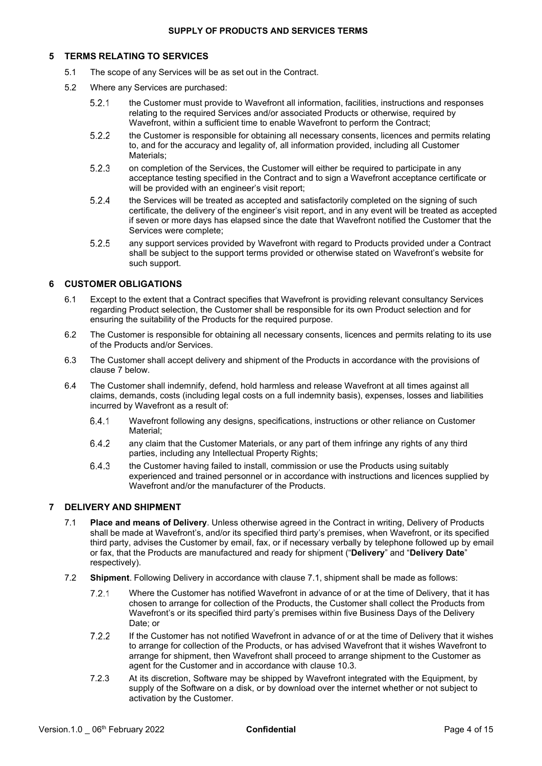# **5 TERMS RELATING TO SERVICES**

- 5.1 The scope of any Services will be as set out in the Contract.
- 5.2 Where any Services are purchased:
	- $5.2.1$ the Customer must provide to Wavefront all information, facilities, instructions and responses relating to the required Services and/or associated Products or otherwise, required by Wavefront, within a sufficient time to enable Wavefront to perform the Contract;
	- $5.2.2$ the Customer is responsible for obtaining all necessary consents, licences and permits relating to, and for the accuracy and legality of, all information provided, including all Customer Materials;
	- 5.2.3 on completion of the Services, the Customer will either be required to participate in any acceptance testing specified in the Contract and to sign a Wavefront acceptance certificate or will be provided with an engineer's visit report;
	- $5.2.4$ the Services will be treated as accepted and satisfactorily completed on the signing of such certificate, the delivery of the engineer's visit report, and in any event will be treated as accepted if seven or more days has elapsed since the date that Wavefront notified the Customer that the Services were complete;
	- 5.2.5 any support services provided by Wavefront with regard to Products provided under a Contract shall be subject to the support terms provided or otherwise stated on Wavefront's website for such support.

# **6 CUSTOMER OBLIGATIONS**

- 6.1 Except to the extent that a Contract specifies that Wavefront is providing relevant consultancy Services regarding Product selection, the Customer shall be responsible for its own Product selection and for ensuring the suitability of the Products for the required purpose.
- 6.2 The Customer is responsible for obtaining all necessary consents, licences and permits relating to its use of the Products and/or Services.
- 6.3 The Customer shall accept delivery and shipment of the Products in accordance with the provisions of clause [7 b](#page-3-2)elow.
- 6.4 The Customer shall indemnify, defend, hold harmless and release Wavefront at all times against all claims, demands, costs (including legal costs on a full indemnity basis), expenses, losses and liabilities incurred by Wavefront as a result of:
	- Wavefront following any designs, specifications, instructions or other reliance on Customer 6.4.1 Material;
	- 6.4.2 any claim that the Customer Materials, or any part of them infringe any rights of any third parties, including any Intellectual Property Rights;
	- the Customer having failed to install, commission or use the Products using suitably 6.4.3 experienced and trained personnel or in accordance with instructions and licences supplied by Wavefront and/or the manufacturer of the Products.

# <span id="page-3-2"></span><span id="page-3-0"></span>**7 DELIVERY AND SHIPMENT**

- 7.1 **Place and means of Delivery**. Unless otherwise agreed in the Contract in writing, Delivery of Products shall be made at Wavefront's, and/or its specified third party's premises, when Wavefront, or its specified third party, advises the Customer by email, fax, or if necessary verbally by telephone followed up by email or fax, that the Products are manufactured and ready for shipment ("**Delivery**" and "**Delivery Date**" respectively).
- <span id="page-3-1"></span>7.2 **Shipment**. Following Delivery in accordance with clause [7.1,](#page-3-0) shipment shall be made as follows:
	- $7.2.1$ Where the Customer has notified Wavefront in advance of or at the time of Delivery, that it has chosen to arrange for collection of the Products, the Customer shall collect the Products from Wavefront's or its specified third party's premises within five Business Days of the Delivery Date; or
	- $7.2.2$ If the Customer has not notified Wavefront in advance of or at the time of Delivery that it wishes to arrange for collection of the Products, or has advised Wavefront that it wishes Wavefront to arrange for shipment, then Wavefront shall proceed to arrange shipment to the Customer as agent for the Customer and in accordance with clause [10.3.](#page-6-1)
	- 7.2.3 At its discretion, Software may be shipped by Wavefront integrated with the Equipment, by supply of the Software on a disk, or by download over the internet whether or not subject to activation by the Customer.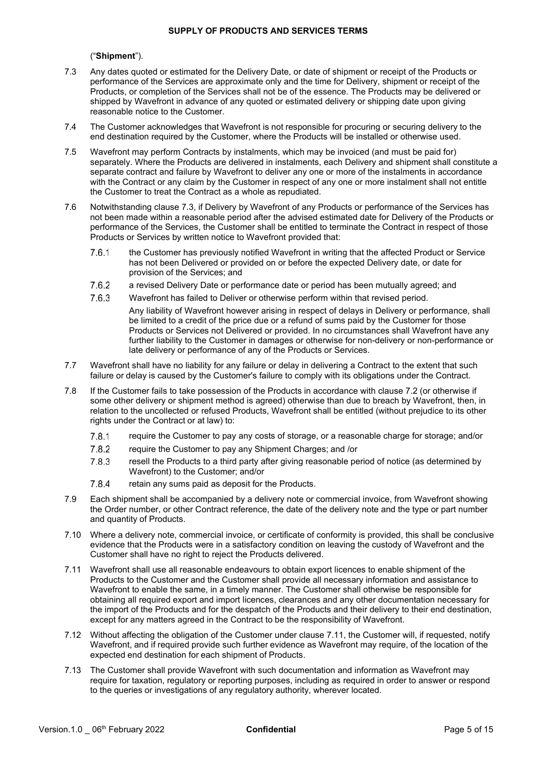# ("**Shipment**").

- <span id="page-4-0"></span>7.3 Any dates quoted or estimated for the Delivery Date, or date of shipment or receipt of the Products or performance of the Services are approximate only and the time for Delivery, shipment or receipt of the Products, or completion of the Services shall not be of the essence. The Products may be delivered or shipped by Wavefront in advance of any quoted or estimated delivery or shipping date upon giving reasonable notice to the Customer.
- 7.4 The Customer acknowledges that Wavefront is not responsible for procuring or securing delivery to the end destination required by the Customer, where the Products will be installed or otherwise used.
- 7.5 Wavefront may perform Contracts by instalments, which may be invoiced (and must be paid for) separately. Where the Products are delivered in instalments, each Delivery and shipment shall constitute a separate contract and failure by Wavefront to deliver any one or more of the instalments in accordance with the Contract or any claim by the Customer in respect of any one or more instalment shall not entitle the Customer to treat the Contract as a whole as repudiated.
- 7.6 Notwithstanding clause [7.3,](#page-4-0) if Delivery by Wavefront of any Products or performance of the Services has not been made within a reasonable period after the advised estimated date for Delivery of the Products or performance of the Services, the Customer shall be entitled to terminate the Contract in respect of those Products or Services by written notice to Wavefront provided that:
	- $7.6.1$ the Customer has previously notified Wavefront in writing that the affected Product or Service has not been Delivered or provided on or before the expected Delivery date, or date for provision of the Services; and
	- 7.6.2 a revised Delivery Date or performance date or period has been mutually agreed; and
	- 7.6.3 Wavefront has failed to Deliver or otherwise perform within that revised period. Any liability of Wavefront however arising in respect of delays in Delivery or performance, shall be limited to a credit of the price due or a refund of sums paid by the Customer for those Products or Services not Delivered or provided. In no circumstances shall Wavefront have any further liability to the Customer in damages or otherwise for non-delivery or non-performance or late delivery or performance of any of the Products or Services.
- 7.7 Wavefront shall have no liability for any failure or delay in delivering a Contract to the extent that such failure or delay is caused by the Customer's failure to comply with its obligations under the Contract.
- 7.8 If the Customer fails to take possession of the Products in accordance with claus[e 7.2 \(](#page-3-1)or otherwise if some other delivery or shipment method is agreed) otherwise than due to breach by Wavefront, then, in relation to the uncollected or refused Products, Wavefront shall be entitled (without prejudice to its other rights under the Contract or at law) to:
	- $7.8.1$ require the Customer to pay any costs of storage, or a reasonable charge for storage; and/or
	- 7.8.2 require the Customer to pay any Shipment Charges; and /or
	- 7.8.3 resell the Products to a third party after giving reasonable period of notice (as determined by Wavefront) to the Customer; and/or
	- 7.8.4 retain any sums paid as deposit for the Products.
- 7.9 Each shipment shall be accompanied by a delivery note or commercial invoice, from Wavefront showing the Order number, or other Contract reference, the date of the delivery note and the type or part number and quantity of Products.
- 7.10 Where a delivery note, commercial invoice, or certificate of conformity is provided, this shall be conclusive evidence that the Products were in a satisfactory condition on leaving the custody of Wavefront and the Customer shall have no right to reject the Products delivered.
- <span id="page-4-1"></span>7.11 Wavefront shall use all reasonable endeavours to obtain export licences to enable shipment of the Products to the Customer and the Customer shall provide all necessary information and assistance to Wavefront to enable the same, in a timely manner. The Customer shall otherwise be responsible for obtaining all required export and import licences, clearances and any other documentation necessary for the import of the Products and for the despatch of the Products and their delivery to their end destination, except for any matters agreed in the Contract to be the responsibility of Wavefront.
- 7.12 Without affecting the obligation of the Customer under clause [7.11,](#page-4-1) the Customer will, if requested, notify Wavefront, and if required provide such further evidence as Wavefront may require, of the location of the expected end destination for each shipment of Products.
- 7.13 The Customer shall provide Wavefront with such documentation and information as Wavefront may require for taxation, regulatory or reporting purposes, including as required in order to answer or respond to the queries or investigations of any regulatory authority, wherever located.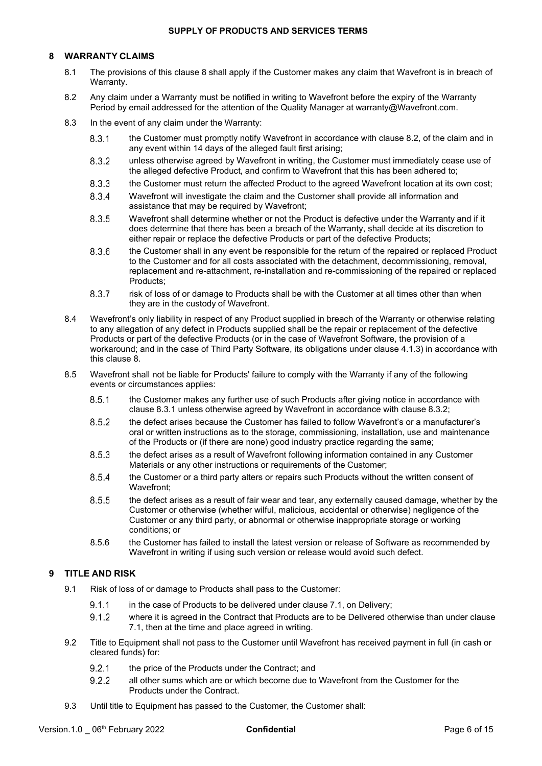# <span id="page-5-2"></span>**8 WARRANTY CLAIMS**

- 8.1 The provisions of this clause 8 shall apply if the Customer makes any claim that Wavefront is in breach of Warranty.
- <span id="page-5-1"></span>8.2 Any claim under a Warranty must be notified in writing to Wavefront before the expiry of the Warranty Period by email addressed for the attention of the Quality Manager at [warranty@Wavefront.com.](mailto:warranty@sonardyne.com)
- <span id="page-5-4"></span><span id="page-5-3"></span>8.3 In the event of any claim under the Warranty:
	- $8.3.1$ the Customer must promptly notify Wavefront in accordance with clause [8.2, o](#page-5-1)f the claim and in any event within 14 days of the alleged fault first arising;
	- unless otherwise agreed by Wavefront in writing, the Customer must immediately cease use of 8.3.2 the alleged defective Product, and confirm to Wavefront that this has been adhered to;
	- 8.3.3 the Customer must return the affected Product to the agreed Wavefront location at its own cost;
	- 8.3.4 Wavefront will investigate the claim and the Customer shall provide all information and assistance that may be required by Wavefront;
	- 8.3.5 Wavefront shall determine whether or not the Product is defective under the Warranty and if it does determine that there has been a breach of the Warranty, shall decide at its discretion to either repair or replace the defective Products or part of the defective Products;
	- 8.3.6 the Customer shall in any event be responsible for the return of the repaired or replaced Product to the Customer and for all costs associated with the detachment, decommissioning, removal, replacement and re-attachment, re-installation and re-commissioning of the repaired or replaced Products;
	- 8.3.7 risk of loss of or damage to Products shall be with the Customer at all times other than when they are in the custody of Wavefront.
- <span id="page-5-0"></span>8.4 Wavefront's only liability in respect of any Product supplied in breach of the Warranty or otherwise relating to any allegation of any defect in Products supplied shall be the repair or replacement of the defective Products or part of the defective Products (or in the case of Wavefront Software, the provision of a workaround; and in the case of Third Party Software, its obligations under clause 4.1.3) in accordance with this clause [8.](#page-5-2)
- 8.5 Wavefront shall not be liable for Products' failure to comply with the Warranty if any of the following events or circumstances applies:
	- the Customer makes any further use of such Products after giving notice in accordance with 8.5.1 clause [8.3.1 u](#page-5-3)nless otherwise agreed by Wavefront in accordance with clause [8.3.2;](#page-5-4)
	- 8.5.2 the defect arises because the Customer has failed to follow Wavefront's or a manufacturer's oral or written instructions as to the storage, commissioning, installation, use and maintenance of the Products or (if there are none) good industry practice regarding the same;
	- 8.5.3 the defect arises as a result of Wavefront following information contained in any Customer Materials or any other instructions or requirements of the Customer;
	- 8.5.4 the Customer or a third party alters or repairs such Products without the written consent of Wavefront;
	- 8.5.5 the defect arises as a result of fair wear and tear, any externally caused damage, whether by the Customer or otherwise (whether wilful, malicious, accidental or otherwise) negligence of the Customer or any third party, or abnormal or otherwise inappropriate storage or working conditions; or
	- 8.5.6 the Customer has failed to install the latest version or release of Software as recommended by Wavefront in writing if using such version or release would avoid such defect.

# **9 TITLE AND RISK**

- 9.1 Risk of loss of or damage to Products shall pass to the Customer:
	- $9.1.1$ in the case of Products to be delivered under clause 7.1, on Delivery;
	- 9.1.2 where it is agreed in the Contract that Products are to be Delivered otherwise than under clause [7.1,](#page-3-0) then at the time and place agreed in writing.
- 9.2 Title to Equipment shall not pass to the Customer until Wavefront has received payment in full (in cash or cleared funds) for:
	- $9.2.1$ the price of the Products under the Contract; and
	- all other sums which are or which become due to Wavefront from the Customer for the  $9.2.2$ Products under the Contract.
- 9.3 Until title to Equipment has passed to the Customer, the Customer shall: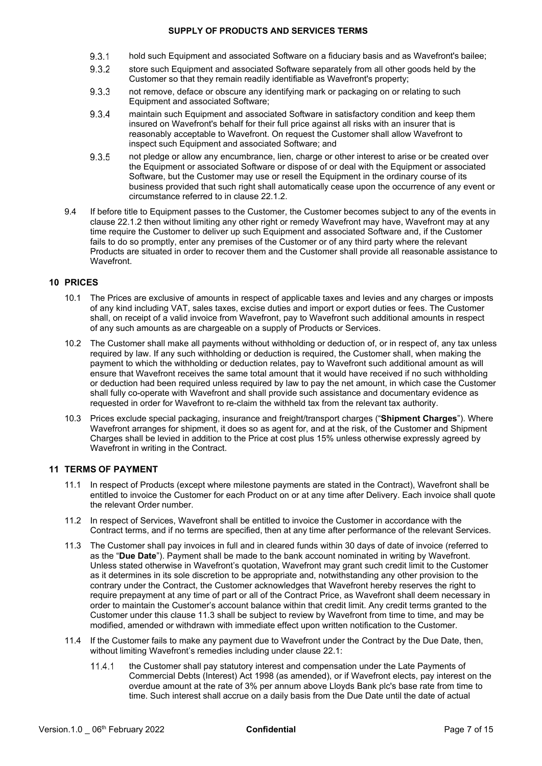- 9.3.1 hold such Equipment and associated Software on a fiduciary basis and as Wavefront's bailee;
- 9.3.2 store such Equipment and associated Software separately from all other goods held by the Customer so that they remain readily identifiable as Wavefront's property;
- 9.3.3 not remove, deface or obscure any identifying mark or packaging on or relating to such Equipment and associated Software;
- maintain such Equipment and associated Software in satisfactory condition and keep them 9.3.4 insured on Wavefront's behalf for their full price against all risks with an insurer that is reasonably acceptable to Wavefront. On request the Customer shall allow Wavefront to inspect such Equipment and associated Software; and
- 9.3.5 not pledge or allow any encumbrance, lien, charge or other interest to arise or be created over the Equipment or associated Software or dispose of or deal with the Equipment or associated Software, but the Customer may use or resell the Equipment in the ordinary course of its business provided that such right shall automatically cease upon the occurrence of any event or circumstance referred to in clause [22.1.2.](#page-12-0)
- 9.4 If before title to Equipment passes to the Customer, the Customer becomes subject to any of the events in clause [22.1.2 t](#page-12-0)hen without limiting any other right or remedy Wavefront may have, Wavefront may at any time require the Customer to deliver up such Equipment and associated Software and, if the Customer fails to do so promptly, enter any premises of the Customer or of any third party where the relevant Products are situated in order to recover them and the Customer shall provide all reasonable assistance to Wavefront.

# **10 PRICES**

- 10.1 The Prices are exclusive of amounts in respect of applicable taxes and levies and any charges or imposts of any kind including VAT, sales taxes, excise duties and import or export duties or fees. The Customer shall, on receipt of a valid invoice from Wavefront, pay to Wavefront such additional amounts in respect of any such amounts as are chargeable on a supply of Products or Services.
- 10.2 The Customer shall make all payments without withholding or deduction of, or in respect of, any tax unless required by law. If any such withholding or deduction is required, the Customer shall, when making the payment to which the withholding or deduction relates, pay to Wavefront such additional amount as will ensure that Wavefront receives the same total amount that it would have received if no such withholding or deduction had been required unless required by law to pay the net amount, in which case the Customer shall fully co-operate with Wavefront and shall provide such assistance and documentary evidence as requested in order for Wavefront to re-claim the withheld tax from the relevant tax authority.
- <span id="page-6-1"></span>10.3 Prices exclude special packaging, insurance and freight/transport charges ("**Shipment Charges**"). Where Wavefront arranges for shipment, it does so as agent for, and at the risk, of the Customer and Shipment Charges shall be levied in addition to the Price at cost plus 15% unless otherwise expressly agreed by Wavefront in writing in the Contract.

# **11 TERMS OF PAYMENT**

- 11.1 In respect of Products (except where milestone payments are stated in the Contract), Wavefront shall be entitled to invoice the Customer for each Product on or at any time after Delivery. Each invoice shall quote the relevant Order number.
- 11.2 In respect of Services, Wavefront shall be entitled to invoice the Customer in accordance with the Contract terms, and if no terms are specified, then at any time after performance of the relevant Services.
- <span id="page-6-0"></span>11.3 The Customer shall pay invoices in full and in cleared funds within 30 days of date of invoice (referred to as the "**Due Date**"). Payment shall be made to the bank account nominated in writing by Wavefront. Unless stated otherwise in Wavefront's quotation, Wavefront may grant such credit limit to the Customer as it determines in its sole discretion to be appropriate and, notwithstanding any other provision to the contrary under the Contract, the Customer acknowledges that Wavefront hereby reserves the right to require prepayment at any time of part or all of the Contract Price, as Wavefront shall deem necessary in order to maintain the Customer's account balance within that credit limit. Any credit terms granted to the Customer under this clause 11.3 shall be subject to review by Wavefront from time to time, and may be modified, amended or withdrawn with immediate effect upon written notification to the Customer.
- 11.4 If the Customer fails to make any payment due to Wavefront under the Contract by the Due Date, then, without limiting Wavefront's remedies including under clause [22.1:](#page-11-0)
	- the Customer shall pay statutory interest and compensation under the Late Payments of  $11.4.1$ Commercial Debts (Interest) Act 1998 (as amended), or if Wavefront elects, pay interest on the overdue amount at the rate of 3% per annum above Lloyds Bank plc's base rate from time to time. Such interest shall accrue on a daily basis from the Due Date until the date of actual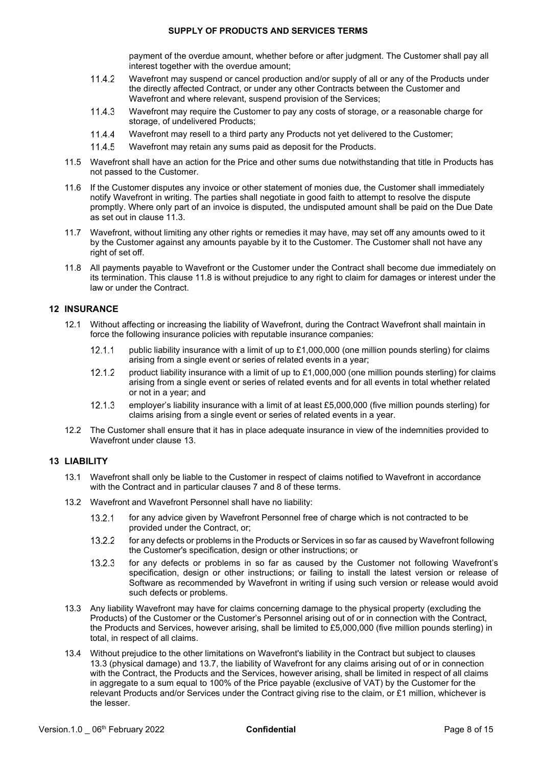payment of the overdue amount, whether before or after judgment. The Customer shall pay all interest together with the overdue amount;

- $11.4.2$ Wavefront may suspend or cancel production and/or supply of all or any of the Products under the directly affected Contract, or under any other Contracts between the Customer and Wavefront and where relevant, suspend provision of the Services;
- 11.4.3 Wavefront may require the Customer to pay any costs of storage, or a reasonable charge for storage, of undelivered Products;
- 11.4.4 Wavefront may resell to a third party any Products not yet delivered to the Customer;
- 11.4.5 Wavefront may retain any sums paid as deposit for the Products.
- 11.5 Wavefront shall have an action for the Price and other sums due notwithstanding that title in Products has not passed to the Customer.
- 11.6 If the Customer disputes any invoice or other statement of monies due, the Customer shall immediately notify Wavefront in writing. The parties shall negotiate in good faith to attempt to resolve the dispute promptly. Where only part of an invoice is disputed, the undisputed amount shall be paid on the Due Date as set out in clause [11.3.](#page-6-0)
- 11.7 Wavefront, without limiting any other rights or remedies it may have, may set off any amounts owed to it by the Customer against any amounts payable by it to the Customer. The Customer shall not have any right of set off.
- <span id="page-7-0"></span>11.8 All payments payable to Wavefront or the Customer under the Contract shall become due immediately on its termination. This clause [11.8 is](#page-7-0) without prejudice to any right to claim for damages or interest under the law or under the Contract.

### <span id="page-7-3"></span>**12 INSURANCE**

- 12.1 Without affecting or increasing the liability of Wavefront, during the Contract Wavefront shall maintain in force the following insurance policies with reputable insurance companies:
	- $12.1.1$ public liability insurance with a limit of up to £1,000,000 (one million pounds sterling) for claims arising from a single event or series of related events in a year;
	- 12.1.2 product liability insurance with a limit of up to £1,000,000 (one million pounds sterling) for claims arising from a single event or series of related events and for all events in total whether related or not in a year; and
	- $12.1.3$ employer's liability insurance with a limit of at least £5,000,000 (five million pounds sterling) for claims arising from a single event or series of related events in a year.
- 12.2 The Customer shall ensure that it has in place adequate insurance in view of the indemnities provided to Wavefront under clause [13.](#page-7-1)

### <span id="page-7-1"></span>**13 LIABILITY**

- 13.1 Wavefront shall only be liable to the Customer in respect of claims notified to Wavefront in accordance with the Contract and in particular clauses [7 a](#page-3-2)nd [8 o](#page-5-2)f these terms.
- 13.2 Wavefront and Wavefront Personnel shall have no liability:
	- $13.2.1$ for any advice given by Wavefront Personnel free of charge which is not contracted to be provided under the Contract, or;
	- 13.2.2 for any defects or problems in the Products or Services in so far as caused by Wavefront following the Customer's specification, design or other instructions; or
	- $13.2.3$ for any defects or problems in so far as caused by the Customer not following Wavefront's specification, design or other instructions; or failing to install the latest version or release of Software as recommended by Wavefront in writing if using such version or release would avoid such defects or problems.
- <span id="page-7-2"></span>13.3 Any liability Wavefront may have for claims concerning damage to the physical property (excluding the Products) of the Customer or the Customer's Personnel arising out of or in connection with the Contract, the Products and Services, however arising, shall be limited to £5,000,000 (five million pounds sterling) in total, in respect of all claims.
- 13.4 Without prejudice to the other limitations on Wavefront's liability in the Contract but subject to clauses [13.3 \(](#page-7-2)physical damage) and [13.7,](#page-8-0) the liability of Wavefront for any claims arising out of or in connection with the Contract, the Products and the Services, however arising, shall be limited in respect of all claims in aggregate to a sum equal to 100% of the Price payable (exclusive of VAT) by the Customer for the relevant Products and/or Services under the Contract giving rise to the claim, or £1 million, whichever is the lesser.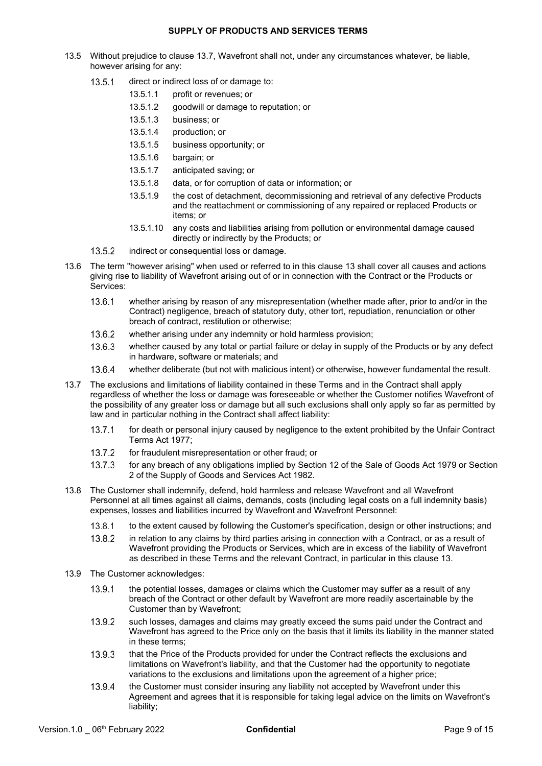- 13.5 Without prejudice to clause [13.7, W](#page-8-0)avefront shall not, under any circumstances whatever, be liable, however arising for any:
	- 13.5.1 direct or indirect loss of or damage to:
		- 13.5.1.1 profit or revenues; or
		- 13.5.1.2 goodwill or damage to reputation; or
		- 13.5.1.3 business; or
		- 13.5.1.4 production; or
		- 13.5.1.5 business opportunity; or
		- 13.5.1.6 bargain; or
		- 13.5.1.7 anticipated saving; or
		- 13.5.1.8 data, or for corruption of data or information; or
		- 13.5.1.9 the cost of detachment, decommissioning and retrieval of any defective Products and the reattachment or commissioning of any repaired or replaced Products or items; or
		- 13.5.1.10 any costs and liabilities arising from pollution or environmental damage caused directly or indirectly by the Products; or
	- 13.5.2 indirect or consequential loss or damage.
- 13.6 The term "however arising" when used or referred to in this clause [13 s](#page-7-1)hall cover all causes and actions giving rise to liability of Wavefront arising out of or in connection with the Contract or the Products or Services:
	- 13.6.1 whether arising by reason of any misrepresentation (whether made after, prior to and/or in the Contract) negligence, breach of statutory duty, other tort, repudiation, renunciation or other breach of contract, restitution or otherwise;
	- 13.6.2 whether arising under any indemnity or hold harmless provision;
	- 13.6.3 whether caused by any total or partial failure or delay in supply of the Products or by any defect in hardware, software or materials; and
	- 13.6.4 whether deliberate (but not with malicious intent) or otherwise, however fundamental the result.
- <span id="page-8-0"></span>13.7 The exclusions and limitations of liability contained in these Terms and in the Contract shall apply regardless of whether the loss or damage was foreseeable or whether the Customer notifies Wavefront of the possibility of any greater loss or damage but all such exclusions shall only apply so far as permitted by law and in particular nothing in the Contract shall affect liability:
	- for death or personal injury caused by negligence to the extent prohibited by the Unfair Contract  $13.7.1$ Terms Act 1977;
	- 13.7.2 for fraudulent misrepresentation or other fraud; or
	- 13.7.3 for any breach of any obligations implied by Section 12 of the Sale of Goods Act 1979 or Section 2 of the Supply of Goods and Services Act 1982.
- 13.8 The Customer shall indemnify, defend, hold harmless and release Wavefront and all Wavefront Personnel at all times against all claims, demands, costs (including legal costs on a full indemnity basis) expenses, losses and liabilities incurred by Wavefront and Wavefront Personnel:
	- 13.8.1 to the extent caused by following the Customer's specification, design or other instructions; and
	- 13.8.2 in relation to any claims by third parties arising in connection with a Contract, or as a result of Wavefront providing the Products or Services, which are in excess of the liability of Wavefront as described in these Terms and the relevant Contract, in particular in this clause [13.](#page-7-1)
- 13.9 The Customer acknowledges:
	- 13.9.1 the potential losses, damages or claims which the Customer may suffer as a result of any breach of the Contract or other default by Wavefront are more readily ascertainable by the Customer than by Wavefront;
	- 13.9.2 such losses, damages and claims may greatly exceed the sums paid under the Contract and Wavefront has agreed to the Price only on the basis that it limits its liability in the manner stated in these terms;
	- 13.9.3 that the Price of the Products provided for under the Contract reflects the exclusions and limitations on Wavefront's liability, and that the Customer had the opportunity to negotiate variations to the exclusions and limitations upon the agreement of a higher price;
	- the Customer must consider insuring any liability not accepted by Wavefront under this 13.9.4 Agreement and agrees that it is responsible for taking legal advice on the limits on Wavefront's liability;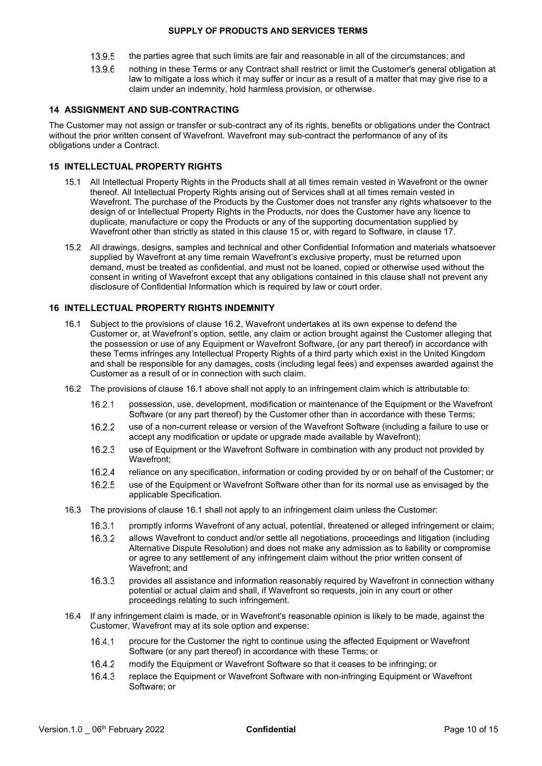- 13.9.5 the parties agree that such limits are fair and reasonable in all of the circumstances; and
- 13.9.6 nothing in these Terms or any Contract shall restrict or limit the Customer's general obligation at law to mitigate a loss which it may suffer or incur as a result of a matter that may give rise to a claim under an indemnity, hold harmless provision, or otherwise.

# **14 ASSIGNMENT AND SUB-CONTRACTING**

The Customer may not assign or transfer or sub-contract any of its rights, benefits or obligations under the Contract without the prior written consent of Wavefront. Wavefront may sub-contract the performance of any of its obligations under a Contract.

# <span id="page-9-0"></span>**15 INTELLECTUAL PROPERTY RIGHTS**

- 15.1 All Intellectual Property Rights in the Products shall at all times remain vested in Wavefront or the owner thereof. All Intellectual Property Rights arising out of Services shall at all times remain vested in Wavefront. The purchase of the Products by the Customer does not transfer any rights whatsoever to the design of or Intellectual Property Rights in the Products, nor does the Customer have any licence to duplicate, manufacture or copy the Products or any of the supporting documentation supplied by Wavefront other than strictly as stated in this clause [15](#page-9-0) or, with regard to Software, in clause [17.](#page-10-0)
- 15.2 All drawings, designs, samples and technical and other Confidential Information and materials whatsoever supplied by Wavefront at any time remain Wavefront's exclusive property, must be returned upon demand, must be treated as confidential, and must not be loaned, copied or otherwise used without the consent in writing of Wavefront except that any obligations contained in this clause shall not prevent any disclosure of Confidential Information which is required by law or court order.

# <span id="page-9-2"></span>**16 INTELLECTUAL PROPERTY RIGHTS INDEMNITY**

- 16.1 Subject to the provisions of clause [16.2, W](#page-9-1)avefront undertakes at its own expense to defend the Customer or, at Wavefront's option, settle, any claim or action brought against the Customer alleging that the possession or use of any Equipment or Wavefront Software, (or any part thereof) in accordance with these Terms infringes any Intellectual Property Rights of a third party which exist in the United Kingdom and shall be responsible for any damages, costs (including legal fees) and expenses awarded against the Customer as a result of or in connection with such claim.
- <span id="page-9-1"></span>16.2 The provisions of clause [16.1](#page-9-2) above shall not apply to an infringement claim which is attributable to:
	- $16.2.1$ possession, use, development, modification or maintenance of the Equipment or the Wavefront Software (or any part thereof) by the Customer other than in accordance with these Terms;
	- 16.2.2 use of a non-current release or version of the Wavefront Software (including a failure to use or accept any modification or update or upgrade made available by Wavefront);
	- 16.2.3 use of Equipment or the Wavefront Software in combination with any product not provided by Wavefront;
	- 16.2.4 reliance on any specification, information or coding provided by or on behalf of the Customer; or
	- 16.2.5 use of the Equipment or Wavefront Software other than for its normal use as envisaged by the applicable Specification.
- 16.3 The provisions of clause [16.1 s](#page-9-2)hall not apply to an infringement claim unless the Customer:
	- 16.3.1 promptly informs Wavefront of any actual, potential, threatened or alleged infringement or claim;
	- allows Wavefront to conduct and/or settle all negotiations, proceedings and litigation (including 16.3.2 Alternative Dispute Resolution) and does not make any admission as to liability or compromise or agree to any settlement of any infringement claim without the prior written consent of Wavefront; and
	- 16.3.3 provides all assistance and information reasonably required by Wavefront in connection withany potential or actual claim and shall, if Wavefront so requests, join in any court or other proceedings relating to such infringement.
- 16.4 If any infringement claim is made, or in Wavefront's reasonable opinion is likely to be made, against the Customer, Wavefront may at its sole option and expense:
	- 16.4.1 procure for the Customer the right to continue using the affected Equipment or Wavefront Software (or any part thereof) in accordance with these Terms; or
	- 16.4.2 modify the Equipment or Wavefront Software so that it ceases to be infringing; or
	- 16.4.3 replace the Equipment or Wavefront Software with non-infringing Equipment or Wavefront Software; or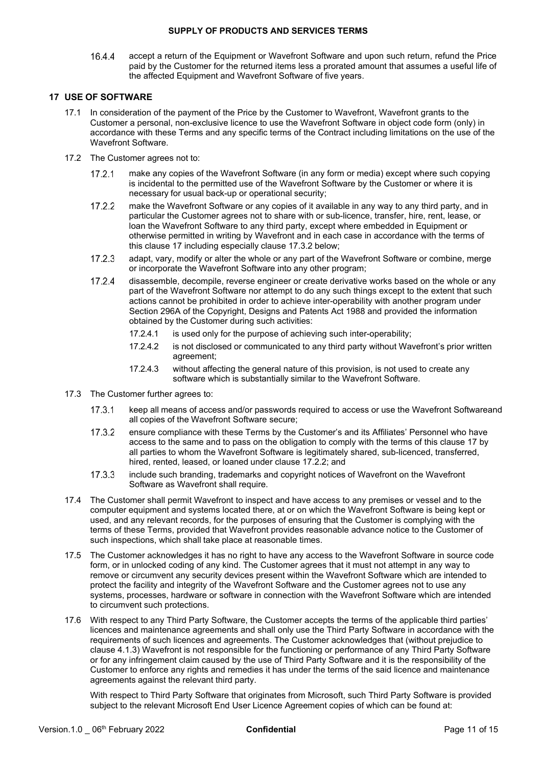16.4.4 accept a return of the Equipment or Wavefront Software and upon such return, refund the Price paid by the Customer for the returned items less a prorated amount that assumes a useful life of the affected Equipment and Wavefront Software of five years.

# <span id="page-10-2"></span><span id="page-10-0"></span>**17 USE OF SOFTWARE**

- 17.1 In consideration of the payment of the Price by the Customer to Wavefront, Wavefront grants to the Customer a personal, non-exclusive licence to use the Wavefront Software in object code form (only) in accordance with these Terms and any specific terms of the Contract including limitations on the use of the Wavefront Software.
- 17.2 The Customer agrees not to:
	- $17.2.1$ make any copies of the Wavefront Software (in any form or media) except where such copying is incidental to the permitted use of the Wavefront Software by the Customer or where it is necessary for usual back-up or operational security;
	- make the Wavefront Software or any copies of it available in any way to any third party, and in  $17.2.2$ particular the Customer agrees not to share with or sub-licence, transfer, hire, rent, lease, or loan the Wavefront Software to any third party, except where embedded in Equipment or otherwise permitted in writing by Wavefront and in each case in accordance with the terms of this clause [17 in](#page-10-0)cluding especially clause [17.3](#page-10-0).2 below;
	- $1723$ adapt, vary, modify or alter the whole or any part of the Wavefront Software or combine, merge or incorporate the Wavefront Software into any other program;
	- $17.2.4$ disassemble, decompile, reverse engineer or create derivative works based on the whole or any part of the Wavefront Software nor attempt to do any such things except to the extent that such actions cannot be prohibited in order to achieve inter-operability with another program under Section 296A of the Copyright, Designs and Patents Act 1988 and provided the information obtained by the Customer during such activities:
		- 17.2.4.1 is used only for the purpose of achieving such inter-operability;
		- 17.2.4.2 is not disclosed or communicated to any third party without Wavefront's prior written agreement;
		- 17.2.4.3 without affecting the general nature of this provision, is not used to create any software which is substantially similar to the Wavefront Software.
- 17.3 The Customer further agrees to:
	- $17.3.1$ keep all means of access and/or passwords required to access or use the Wavefront Softwareand all copies of the Wavefront Software secure;
	- $17.3.2$ ensure compliance with these Terms by the Customer's and its Affiliates' Personnel who have access to the same and to pass on the obligation to comply with the terms of this clause 17 by all parties to whom the Wavefront Software is legitimately shared, sub-licenced, transferred, hired, rented, leased, or loaned under clause [17.](#page-10-0)2.2; and
	- $17.3.3$ include such branding, trademarks and copyright notices of Wavefront on the Wavefront Software as Wavefront shall require.
- 17.4 The Customer shall permit Wavefront to inspect and have access to any premises or vessel and to the computer equipment and systems located there, at or on which the Wavefront Software is being kept or used, and any relevant records, for the purposes of ensuring that the Customer is complying with the terms of these Terms, provided that Wavefront provides reasonable advance notice to the Customer of such inspections, which shall take place at reasonable times.
- <span id="page-10-3"></span>17.5 The Customer acknowledges it has no right to have any access to the Wavefront Software in source code form, or in unlocked coding of any kind. The Customer agrees that it must not attempt in any way to remove or circumvent any security devices present within the Wavefront Software which are intended to protect the facility and integrity of the Wavefront Software and the Customer agrees not to use any systems, processes, hardware or software in connection with the Wavefront Software which are intended to circumvent such protections.
- <span id="page-10-1"></span>17.6 With respect to any Third Party Software, the Customer accepts the terms of the applicable third parties' licences and maintenance agreements and shall only use the Third Party Software in accordance with the requirements of such licences and agreements. The Customer acknowledges that (without prejudice to clause [4.1.3\)](#page-2-2) Wavefront is not responsible for the functioning or performance of any Third Party Software or for any infringement claim caused by the use of Third Party Software and it is the responsibility of the Customer to enforce any rights and remedies it has under the terms of the said licence and maintenance agreements against the relevant third party.

With respect to Third Party Software that originates from Microsoft, such Third Party Software is provided subject to the relevant Microsoft End User Licence Agreement copies of which can be found at: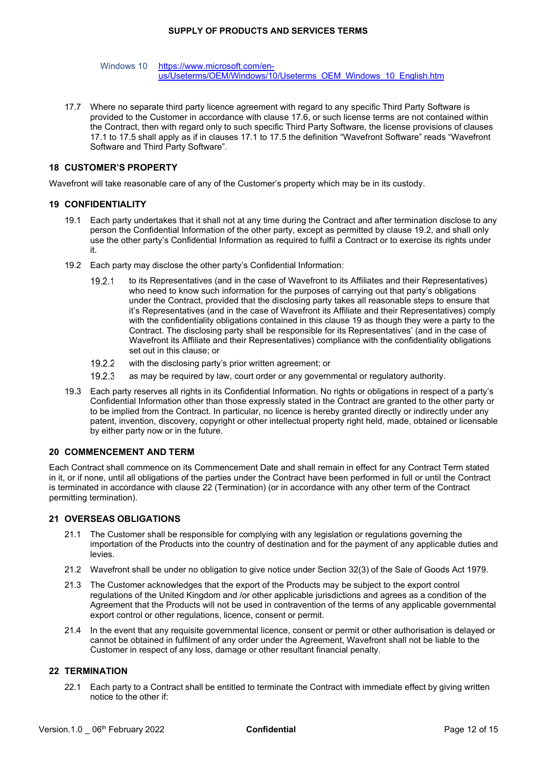Windows 10 [https://www.microsoft.com/en](https://www.microsoft.com/en-us/Useterms/OEM/Windows/10/Useterms_OEM_Windows_10_English.htm)[us/Useterms/OEM/Windows/10/Useterms\\_OEM\\_Windows\\_10\\_English.htm](https://www.microsoft.com/en-us/Useterms/OEM/Windows/10/Useterms_OEM_Windows_10_English.htm)

17.7 Where no separate third party licence agreement with regard to any specific Third Party Software is provided to the Customer in accordance with clause [17.6, o](#page-10-1)r such license terms are not contained within the Contract, then with regard only to such specific Third Party Software, the license provisions of clauses [17.1 to](#page-10-2) [17.5 s](#page-10-3)hall apply as if in clauses [17.1 t](#page-10-2)o [17.5 th](#page-10-3)e definition "Wavefront Software" reads "Wavefront Software and Third Party Software".

# **18 CUSTOMER'S PROPERTY**

Wavefront will take reasonable care of any of the Customer's property which may be in its custody.

### <span id="page-11-2"></span>**19 CONFIDENTIALITY**

- 19.1 Each party undertakes that it shall not at any time during the Contract and after termination disclose to any person the Confidential Information of the other party, except as permitted by clause [19.2,](#page-11-1) and shall only use the other party's Confidential Information as required to fulfil a Contract or to exercise its rights under it.
- <span id="page-11-1"></span>19.2 Each party may disclose the other party's Confidential Information:
	- to its Representatives (and in the case of Wavefront to its Affiliates and their Representatives) 19.2.1 who need to know such information for the purposes of carrying out that party's obligations under the Contract, provided that the disclosing party takes all reasonable steps to ensure that it's Representatives (and in the case of Wavefront its Affiliate and their Representatives) comply with the confidentiality obligations contained in this clause [19 a](#page-11-2)s though they were a party to the Contract. The disclosing party shall be responsible for its Representatives' (and in the case of Wavefront its Affiliate and their Representatives) compliance with the confidentiality obligations set out in this clause; or
	- 19.2.2 with the disclosing party's prior written agreement; or
	- $19.2.3$ as may be required by law, court order or any governmental or regulatory authority.
- 19.3 Each party reserves all rights in its Confidential Information. No rights or obligations in respect of a party's Confidential Information other than those expressly stated in the Contract are granted to the other party or to be implied from the Contract. In particular, no licence is hereby granted directly or indirectly under any patent, invention, discovery, copyright or other intellectual property right held, made, obtained or licensable by either party now or in the future.

### **20 COMMENCEMENT AND TERM**

Each Contract shall commence on its Commencement Date and shall remain in effect for any Contract Term stated in it, or if none, until all obligations of the parties under the Contract have been performed in full or until the Contract is terminated in accordance with clause [22 \(](#page-11-3)Termination) (or in accordance with any other term of the Contract permitting termination).

### **21 OVERSEAS OBLIGATIONS**

- 21.1 The Customer shall be responsible for complying with any legislation or regulations governing the importation of the Products into the country of destination and for the payment of any applicable duties and levies.
- 21.2 Wavefront shall be under no obligation to give notice under Section 32(3) of the Sale of Goods Act 1979.
- 21.3 The Customer acknowledges that the export of the Products may be subject to the export control regulations of the United Kingdom and /or other applicable jurisdictions and agrees as a condition of the Agreement that the Products will not be used in contravention of the terms of any applicable governmental export control or other regulations, licence, consent or permit.
- 21.4 In the event that any requisite governmental licence, consent or permit or other authorisation is delayed or cannot be obtained in fulfilment of any order under the Agreement, Wavefront shall not be liable to the Customer in respect of any loss, damage or other resultant financial penalty.

## <span id="page-11-3"></span><span id="page-11-0"></span>**22 TERMINATION**

22.1 Each party to a Contract shall be entitled to terminate the Contract with immediate effect by giving written notice to the other if: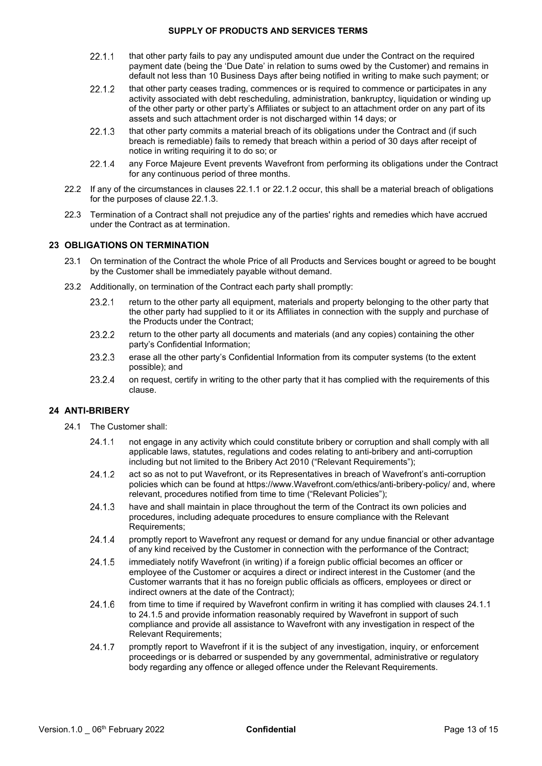- <span id="page-12-1"></span> $22.1.1$ that other party fails to pay any undisputed amount due under the Contract on the required payment date (being the 'Due Date' in relation to sums owed by the Customer) and remains in default not less than 10 Business Days after being notified in writing to make such payment; or
- <span id="page-12-0"></span> $22.1.2$ that other party ceases trading, commences or is required to commence or participates in any activity associated with debt rescheduling, administration, bankruptcy, liquidation or winding up of the other party or other party's Affiliates or subject to an attachment order on any part of its assets and such attachment order is not discharged within 14 days; or
- <span id="page-12-2"></span>22.1.3 that other party commits a material breach of its obligations under the Contract and (if such breach is remediable) fails to remedy that breach within a period of 30 days after receipt of notice in writing requiring it to do so; or
- 22.1.4 any Force Majeure Event prevents Wavefront from performing its obligations under the Contract for any continuous period of three months.
- 22.2 If any of the circumstances in clauses [22.1.1 o](#page-12-1)r [22.1.2 o](#page-12-0)ccur, this shall be a material breach of obligations for the purposes of clause [22.1.3.](#page-12-2)
- 22.3 Termination of a Contract shall not prejudice any of the parties' rights and remedies which have accrued under the Contract as at termination.

# <span id="page-12-9"></span>**23 OBLIGATIONS ON TERMINATION**

- 23.1 On termination of the Contract the whole Price of all Products and Services bought or agreed to be bought by the Customer shall be immediately payable without demand.
- 23.2 Additionally, on termination of the Contract each party shall promptly:
	- 23.2.1 return to the other party all equipment, materials and property belonging to the other party that the other party had supplied to it or its Affiliates in connection with the supply and purchase of the Products under the Contract;
	- 23.2.2 return to the other party all documents and materials (and any copies) containing the other party's Confidential Information;
	- 23.2.3 erase all the other party's Confidential Information from its computer systems (to the extent possible); and
	- 23.2.4 on request, certify in writing to the other party that it has complied with the requirements of this clause.

### <span id="page-12-6"></span><span id="page-12-5"></span>**24 ANTI-BRIBERY**

- <span id="page-12-8"></span><span id="page-12-7"></span><span id="page-12-4"></span><span id="page-12-3"></span>24.1 The Customer shall:
	- not engage in any activity which could constitute bribery or corruption and shall comply with all 24.1.1 applicable laws, statutes, regulations and codes relating to anti-bribery and anti-corruption including but not limited to the Bribery Act 2010 ("Relevant Requirements");
	- 24.1.2 act so as not to put Wavefront, or its Representatives in breach of Wavefront's anti-corruption policies which can be found at https:/[/www.Wavefront.com/ethics/anti-bribery-policy/ a](http://www.sonardyne.com/ethics/anti-bribery-policy/)nd, where relevant, procedures notified from time to time ("Relevant Policies");
	- 24.1.3 have and shall maintain in place throughout the term of the Contract its own policies and procedures, including adequate procedures to ensure compliance with the Relevant Requirements;
	- promptly report to Wavefront any request or demand for any undue financial or other advantage 24.1.4 of any kind received by the Customer in connection with the performance of the Contract;
	- 24.1.5 immediately notify Wavefront (in writing) if a foreign public official becomes an officer or employee of the Customer or acquires a direct or indirect interest in the Customer (and the Customer warrants that it has no foreign public officials as officers, employees or direct or indirect owners at the date of the Contract);
	- 24.1.6 from time to time if required by Wavefront confirm in writing it has complied with clauses [24.1.1](#page-12-3) to [24.1.5 a](#page-12-4)nd provide information reasonably required by Wavefront in support of such compliance and provide all assistance to Wavefront with any investigation in respect of the Relevant Requirements;
	- 24.1.7 promptly report to Wavefront if it is the subject of any investigation, inquiry, or enforcement proceedings or is debarred or suspended by any governmental, administrative or regulatory body regarding any offence or alleged offence under the Relevant Requirements.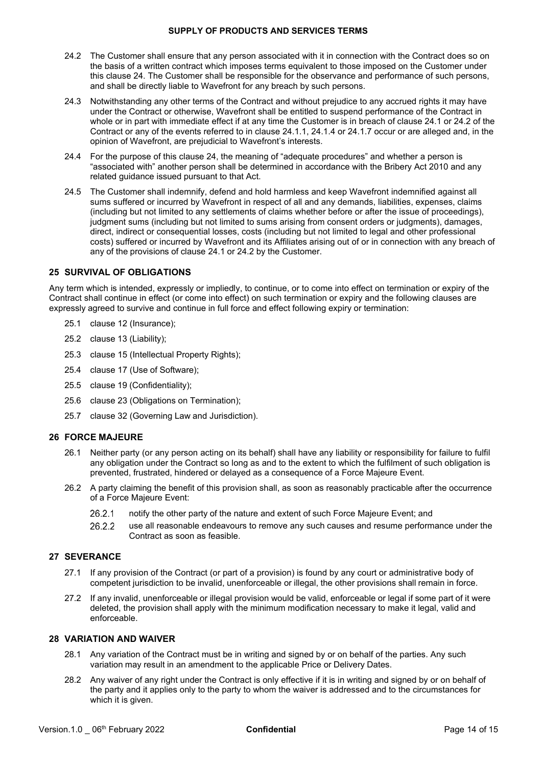- <span id="page-13-0"></span>24.2 The Customer shall ensure that any person associated with it in connection with the Contract does so on the basis of a written contract which imposes terms equivalent to those imposed on the Customer under this claus[e 24.](#page-12-5) The Customer shall be responsible for the observance and performance of such persons, and shall be directly liable to Wavefront for any breach by such persons.
- 24.3 Notwithstanding any other terms of the Contract and without prejudice to any accrued rights it may have under the Contract or otherwise, Wavefront shall be entitled to suspend performance of the Contract in whole or in part with immediate effect if at any time the Customer is in breach of claus[e 24.1 o](#page-12-6)r [24.2 o](#page-13-0)f the Contract or any of the events referred to in clause [24.1.1,](#page-12-3) [24.1.4 o](#page-12-7)r [24.1.7 o](#page-12-8)ccur or are alleged and, in the opinion of Wavefront, are prejudicial to Wavefront's interests.
- 24.4 For the purpose of this clause [24,](#page-12-5) the meaning of "adequate procedures" and whether a person is "associated with" another person shall be determined in accordance with the Bribery Act 2010 and any related guidance issued pursuant to that Act.
- 24.5 The Customer shall indemnify, defend and hold harmless and keep Wavefront indemnified against all sums suffered or incurred by Wavefront in respect of all and any demands, liabilities, expenses, claims (including but not limited to any settlements of claims whether before or after the issue of proceedings), judgment sums (including but not limited to sums arising from consent orders or judgments), damages, direct, indirect or consequential losses, costs (including but not limited to legal and other professional costs) suffered or incurred by Wavefront and its Affiliates arising out of or in connection with any breach of any of the provisions of clause [24.1](#page-12-6) or [24.2](#page-13-0) by the Customer.

# **25 SURVIVAL OF OBLIGATIONS**

Any term which is intended, expressly or impliedly, to continue, or to come into effect on termination or expiry of the Contract shall continue in effect (or come into effect) on such termination or expiry and the following clauses are expressly agreed to survive and continue in full force and effect following expiry or termination:

- 25.1 clause [12 \(](#page-7-3)Insurance);
- 25.2 clause [13](#page-7-1) (Liability);
- 25.3 clause [15](#page-9-0) (Intellectual Property Rights);
- 25.4 clause [17](#page-10-0) (Use of Software);
- 25.5 clause [19](#page-11-2) (Confidentiality);
- 25.6 clause [23](#page-12-9) (Obligations on Termination);
- 25.7 clause 32 (Governing Law and Jurisdiction).

### **26 FORCE MAJEURE**

- 26.1 Neither party (or any person acting on its behalf) shall have any liability or responsibility for failure to fulfil any obligation under the Contract so long as and to the extent to which the fulfilment of such obligation is prevented, frustrated, hindered or delayed as a consequence of a Force Majeure Event.
- 26.2 A party claiming the benefit of this provision shall, as soon as reasonably practicable after the occurrence of a Force Majeure Event:
	- 26.2.1 notify the other party of the nature and extent of such Force Majeure Event; and
	- 26.2.2 use all reasonable endeavours to remove any such causes and resume performance under the Contract as soon as feasible.

### **27 SEVERANCE**

- 27.1 If any provision of the Contract (or part of a provision) is found by any court or administrative body of competent jurisdiction to be invalid, unenforceable or illegal, the other provisions shall remain in force.
- 27.2 If any invalid, unenforceable or illegal provision would be valid, enforceable or legal if some part of it were deleted, the provision shall apply with the minimum modification necessary to make it legal, valid and enforceable.

### **28 VARIATION AND WAIVER**

- 28.1 Any variation of the Contract must be in writing and signed by or on behalf of the parties. Any such variation may result in an amendment to the applicable Price or Delivery Dates.
- 28.2 Any waiver of any right under the Contract is only effective if it is in writing and signed by or on behalf of the party and it applies only to the party to whom the waiver is addressed and to the circumstances for which it is given.